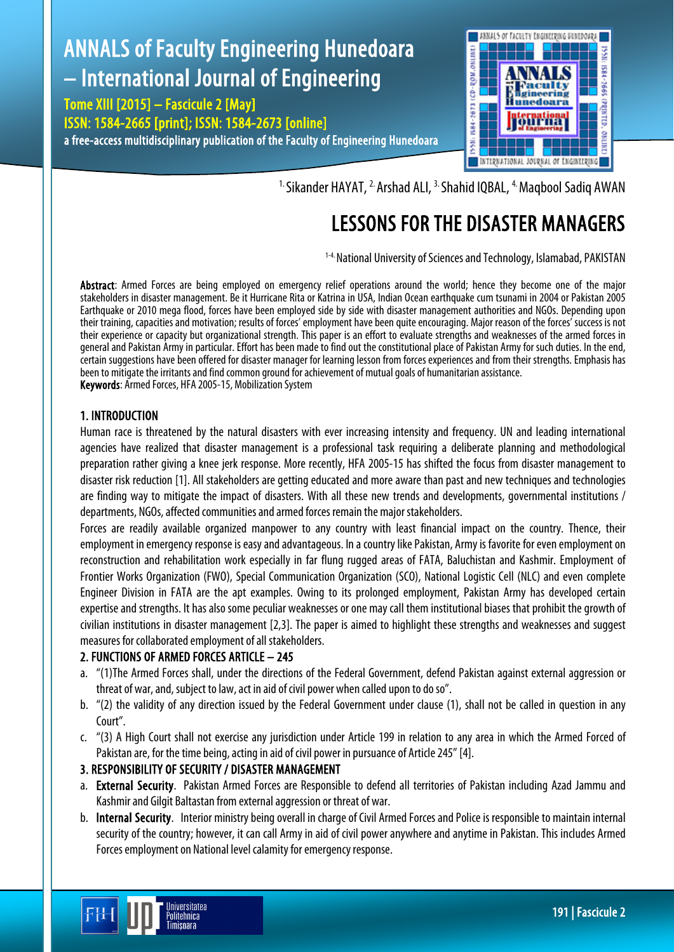# ANNALS of Faculty Engineering Hunedoara – International Journal of Engineering

Tome XIII [2015] – Fascicule 2 [May] ISSN: 1584-2665 [print]; ISSN: 1584-2673 [online] a free-access multidisciplinary publication of the Faculty of Engineering Hunedoara



<sup>1.</sup> Sikander HAYAT, <sup>2.</sup> Arshad ALI, <sup>3.</sup> Shahid IQBAL, <sup>4.</sup> Maqbool Sadiq AWAN

## LESSONS FOR THE DISASTER MANAGERS

1-4. National University of Sciences and Technology, Islamabad, PAKISTAN

Abstract: Armed Forces are being employed on emergency relief operations around the world; hence they become one of the major stakeholders in disaster management. Be it Hurricane Rita or Katrina in USA, Indian Ocean earthquake cum tsunami in 2004 or Pakistan 2005 Earthquake or 2010 mega flood, forces have been employed side by side with disaster management authorities and NGOs. Depending upon their training, capacities and motivation; results of forces' employment have been quite encouraging. Major reason of the forces' success is not their experience or capacity but organizational strength. This paper is an effort to evaluate strengths and weaknesses of the armed forces in general and Pakistan Army in particular. Effort has been made to find out the constitutional place of Pakistan Army for such duties. In the end, certain suggestions have been offered for disaster manager for learning lesson from forces experiences and from their strengths. Emphasis has been to mitigate the irritants and find common ground for achievement of mutual goals of humanitarian assistance. Keywords: Armed Forces, HFA 2005-15, Mobilization System

#### 1. INTRODUCTION

Human race is threatened by the natural disasters with ever increasing intensity and frequency. UN and leading international agencies have realized that disaster management is a professional task requiring a deliberate planning and methodological preparation rather giving a knee jerk response. More recently, HFA 2005-15 has shifted the focus from disaster management to disaster risk reduction [1]. All stakeholders are getting educated and more aware than past and new techniques and technologies are finding way to mitigate the impact of disasters. With all these new trends and developments, governmental institutions / departments, NGOs, affected communities and armed forces remain the major stakeholders.

Forces are readily available organized manpower to any country with least financial impact on the country. Thence, their employment in emergency response is easy and advantageous. In a country like Pakistan, Army is favorite for even employment on reconstruction and rehabilitation work especially in far flung rugged areas of FATA, Baluchistan and Kashmir. Employment of Frontier Works Organization (FWO), Special Communication Organization (SCO), National Logistic Cell (NLC) and even complete Engineer Division in FATA are the apt examples. Owing to its prolonged employment, Pakistan Army has developed certain expertise and strengths. It has also some peculiar weaknesses or one may call them institutional biases that prohibit the growth of civilian institutions in disaster management [2,3]. The paper is aimed to highlight these strengths and weaknesses and suggest measures for collaborated employment of all stakeholders.

## 2. FUNCTIONS OF ARMED FORCES ARTICLE – 245

- a. "(1)The Armed Forces shall, under the directions of the Federal Government, defend Pakistan against external aggression or threat of war, and, subject to law, act in aid of civil power when called upon to do so".
- b. "(2) the validity of any direction issued by the Federal Government under clause (1), shall not be called in question in any Court".
- c. "(3) A High Court shall not exercise any jurisdiction under Article 199 in relation to any area in which the Armed Forced of Pakistan are, for the time being, acting in aid of civil power in pursuance of Article 245" [4].

## 3. RESPONSIBILITY OF SECURITY / DISASTER MANAGEMENT

- a. External Security. Pakistan Armed Forces are Responsible to defend all territories of Pakistan including Azad Jammu and Kashmir and Gilgit Baltastan from external aggression or threat of war.
- b. Internal Security. Interior ministry being overall in charge of Civil Armed Forces and Police is responsible to maintain internal security of the country; however, it can call Army in aid of civil power anywhere and anytime in Pakistan. This includes Armed Forces employment on National level calamity for emergency response.

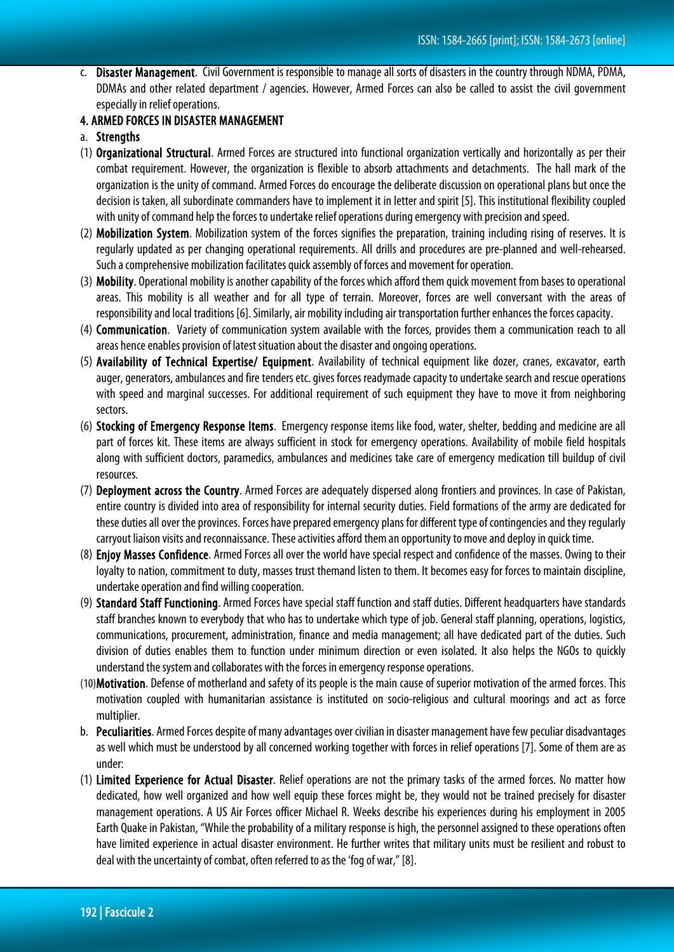c. Disaster Management. Civil Government is responsible to manage all sorts of disasters in the country through NDMA, PDMA, DDMAs and other related department / agencies. However, Armed Forces can also be called to assist the civil government especially in relief operations.

## 4. ARMED FORCES IN DISASTER MANAGEMENT

#### a. Strengths

- (1) Organizational Structural. Armed Forces are structured into functional organization vertically and horizontally as per their combat requirement. However, the organization is flexible to absorb attachments and detachments. The hall mark of the organization is the unity of command. Armed Forces do encourage the deliberate discussion on operational plans but once the decision is taken, all subordinate commanders have to implement it in letter and spirit [5]. This institutional flexibility coupled with unity of command help the forces to undertake relief operations during emergency with precision and speed.
- (2) Mobilization System. Mobilization system of the forces signifies the preparation, training including rising of reserves. It is regularly updated as per changing operational requirements. All drills and procedures are pre-planned and well-rehearsed. Such a comprehensive mobilization facilitates quick assembly of forces and movement for operation.
- (3) Mobility. Operational mobility is another capability of the forces which afford them quick movement from bases to operational areas. This mobility is all weather and for all type of terrain. Moreover, forces are well conversant with the areas of responsibility and local traditions [6]. Similarly, air mobility including air transportation further enhances the forces capacity.
- (4) Communication. Variety of communication system available with the forces, provides them a communication reach to all areas hence enables provision of latest situation about the disaster and ongoing operations.
- (5) Availability of Technical Expertise/ Equipment. Availability of technical equipment like dozer, cranes, excavator, earth auger, generators, ambulances and fire tenders etc. gives forces readymade capacity to undertake search and rescue operations with speed and marginal successes. For additional requirement of such equipment they have to move it from neighboring sectors.
- (6) Stocking of Emergency Response Items. Emergency response items like food, water, shelter, bedding and medicine are all part of forces kit. These items are always sufficient in stock for emergency operations. Availability of mobile field hospitals along with sufficient doctors, paramedics, ambulances and medicines take care of emergency medication till buildup of civil resources.
- (7) Deployment across the Country. Armed Forces are adequately dispersed along frontiers and provinces. In case of Pakistan, entire country is divided into area of responsibility for internal security duties. Field formations of the army are dedicated for these duties all over the provinces. Forces have prepared emergency plans for different type of contingencies and they regularly carryout liaison visits and reconnaissance. These activities afford them an opportunity to move and deploy in quick time.
- (8) Enjoy Masses Confidence. Armed Forces all over the world have special respect and confidence of the masses. Owing to their loyalty to nation, commitment to duty, masses trust themand listen to them. It becomes easy for forces to maintain discipline, undertake operation and find willing cooperation.
- (9) Standard Staff Functioning. Armed Forces have special staff function and staff duties. Different headquarters have standards staff branches known to everybody that who has to undertake which type of job. General staff planning, operations, logistics, communications, procurement, administration, finance and media management; all have dedicated part of the duties. Such division of duties enables them to function under minimum direction or even isolated. It also helps the NGOs to quickly understand the system and collaborates with the forces in emergency response operations.
- (10)Motivation. Defense of motherland and safety of its people is the main cause of superior motivation of the armed forces. This motivation coupled with humanitarian assistance is instituted on socio-religious and cultural moorings and act as force multiplier.
- b. Peculiarities. Armed Forces despite of many advantages over civilian in disaster management have few peculiar disadvantages as well which must be understood by all concerned working together with forces in relief operations [7]. Some of them are as under:
- (1) Limited Experience for Actual Disaster. Relief operations are not the primary tasks of the armed forces. No matter how dedicated, how well organized and how well equip these forces might be, they would not be trained precisely for disaster management operations. A US Air Forces officer Michael R. Weeks describe his experiences during his employment in 2005 Earth Quake in Pakistan, "While the probability of a military response is high, the personnel assigned to these operations often have limited experience in actual disaster environment. He further writes that military units must be resilient and robust to deal with the uncertainty of combat, often referred to as the 'fog of war," [8].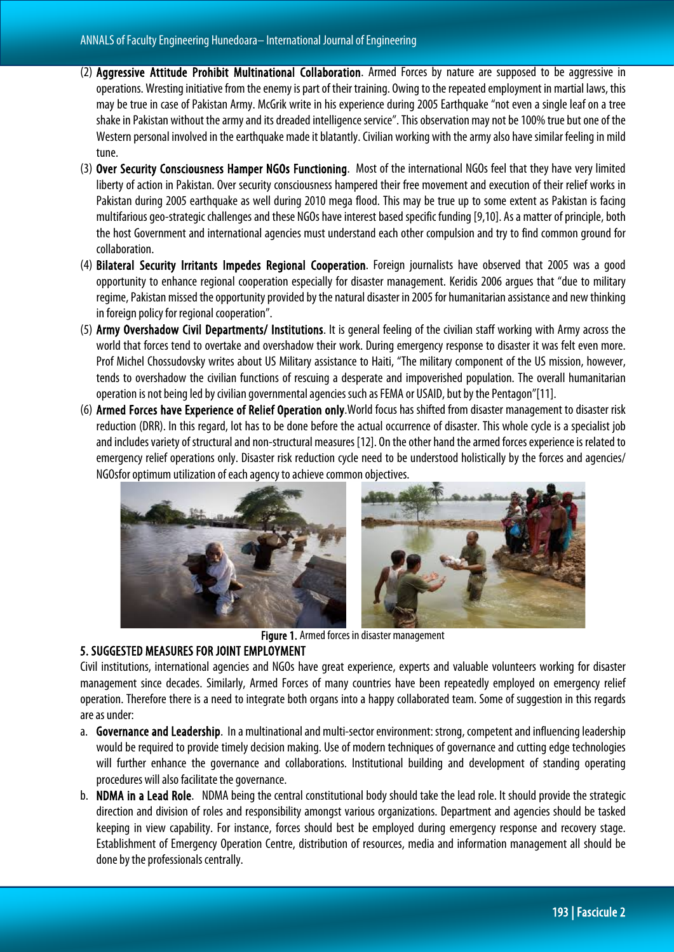- (2) Aggressive Attitude Prohibit Multinational Collaboration. Armed Forces by nature are supposed to be aggressive in operations. Wresting initiative from the enemy is part of their training. Owing to the repeated employment in martial laws, this may be true in case of Pakistan Army. McGrik write in his experience during 2005 Earthquake "not even a single leaf on a tree shake in Pakistan without the army and its dreaded intelligence service". This observation may not be 100% true but one of the Western personal involved in the earthquake made it blatantly. Civilian working with the army also have similar feeling in mild tune.
- (3) Over Security Consciousness Hamper NGOs Functioning. Most of the international NGOs feel that they have very limited liberty of action in Pakistan. Over security consciousness hampered their free movement and execution of their relief works in Pakistan during 2005 earthquake as well during 2010 mega flood. This may be true up to some extent as Pakistan is facing multifarious geo-strategic challenges and these NGOs have interest based specific funding [9,10]. As a matter of principle, both the host Government and international agencies must understand each other compulsion and try to find common ground for collaboration.
- (4) Bilateral Security Irritants Impedes Regional Cooperation. Foreign journalists have observed that 2005 was a good opportunity to enhance regional cooperation especially for disaster management. Keridis 2006 argues that "due to military regime, Pakistan missed the opportunity provided by the natural disaster in 2005 for humanitarian assistance and new thinking in foreign policy for regional cooperation".
- (5) Army Overshadow Civil Departments/ Institutions. It is general feeling of the civilian staff working with Army across the world that forces tend to overtake and overshadow their work. During emergency response to disaster it was felt even more. Prof Michel Chossudovsky writes about US Military assistance to Haiti, "The military component of the US mission, however, tends to overshadow the civilian functions of rescuing a desperate and impoverished population. The overall humanitarian operation is not being led by civilian governmental agencies such as FEMA or USAID, but by the Pentagon"[11].
- (6) Armed Forces have Experience of Relief Operation only.World focus has shifted from disaster management to disaster risk reduction (DRR). In this regard, lot has to be done before the actual occurrence of disaster. This whole cycle is a specialist job and includes variety of structural and non-structural measures [12]. On the other hand the armed forces experience is related to emergency relief operations only. Disaster risk reduction cycle need to be understood holistically by the forces and agencies/ NGOsfor optimum utilization of each agency to achieve common objectives.



Figure 1. Armed forces in disaster management

## 5. SUGGESTED MEASURES FOR JOINT EMPLOYMENT

Civil institutions, international agencies and NGOs have great experience, experts and valuable volunteers working for disaster management since decades. Similarly, Armed Forces of many countries have been repeatedly employed on emergency relief operation. Therefore there is a need to integrate both organs into a happy collaborated team. Some of suggestion in this regards are as under:

- a. Governance and Leadership. In a multinational and multi-sector environment: strong, competent and influencing leadership would be required to provide timely decision making. Use of modern techniques of governance and cutting edge technologies will further enhance the governance and collaborations. Institutional building and development of standing operating procedures will also facilitate the governance.
- b. NDMA in a Lead Role. NDMA being the central constitutional body should take the lead role. It should provide the strategic direction and division of roles and responsibility amongst various organizations. Department and agencies should be tasked keeping in view capability. For instance, forces should best be employed during emergency response and recovery stage. Establishment of Emergency Operation Centre, distribution of resources, media and information management all should be done by the professionals centrally.